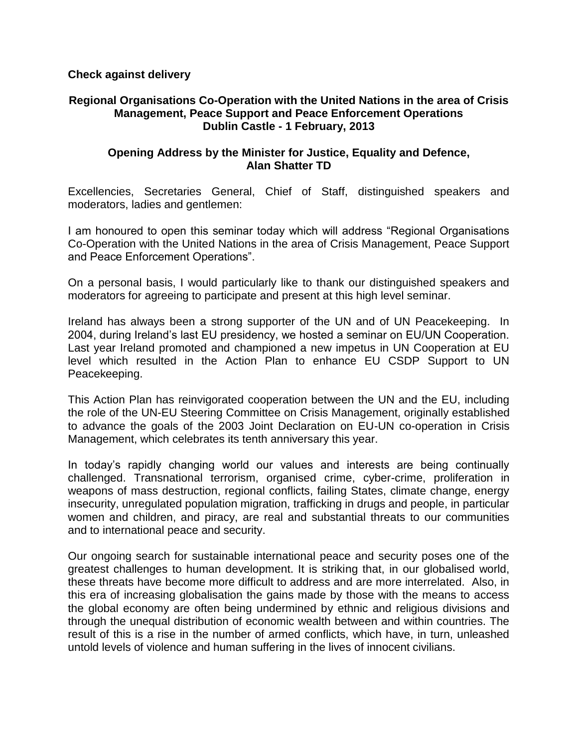**Check against delivery**

## **Regional Organisations Co-Operation with the United Nations in the area of Crisis Management, Peace Support and Peace Enforcement Operations Dublin Castle - 1 February, 2013**

## **Opening Address by the Minister for Justice, Equality and Defence, Alan Shatter TD**

Excellencies, Secretaries General, Chief of Staff, distinguished speakers and moderators, ladies and gentlemen:

I am honoured to open this seminar today which will address "Regional Organisations Co-Operation with the United Nations in the area of Crisis Management, Peace Support and Peace Enforcement Operations".

On a personal basis, I would particularly like to thank our distinguished speakers and moderators for agreeing to participate and present at this high level seminar.

Ireland has always been a strong supporter of the UN and of UN Peacekeeping. In 2004, during Ireland's last EU presidency, we hosted a seminar on EU/UN Cooperation. Last year Ireland promoted and championed a new impetus in UN Cooperation at EU level which resulted in the Action Plan to enhance EU CSDP Support to UN Peacekeeping.

This Action Plan has reinvigorated cooperation between the UN and the EU, including the role of the UN-EU Steering Committee on Crisis Management, originally established to advance the goals of the 2003 Joint Declaration on EU-UN co-operation in Crisis Management, which celebrates its tenth anniversary this year.

In today's rapidly changing world our values and interests are being continually challenged. Transnational terrorism, organised crime, cyber-crime, proliferation in weapons of mass destruction, regional conflicts, failing States, climate change, energy insecurity, unregulated population migration, trafficking in drugs and people, in particular women and children, and piracy, are real and substantial threats to our communities and to international peace and security.

Our ongoing search for sustainable international peace and security poses one of the greatest challenges to human development. It is striking that, in our globalised world, these threats have become more difficult to address and are more interrelated. Also, in this era of increasing globalisation the gains made by those with the means to access the global economy are often being undermined by ethnic and religious divisions and through the unequal distribution of economic wealth between and within countries. The result of this is a rise in the number of armed conflicts, which have, in turn, unleashed untold levels of violence and human suffering in the lives of innocent civilians.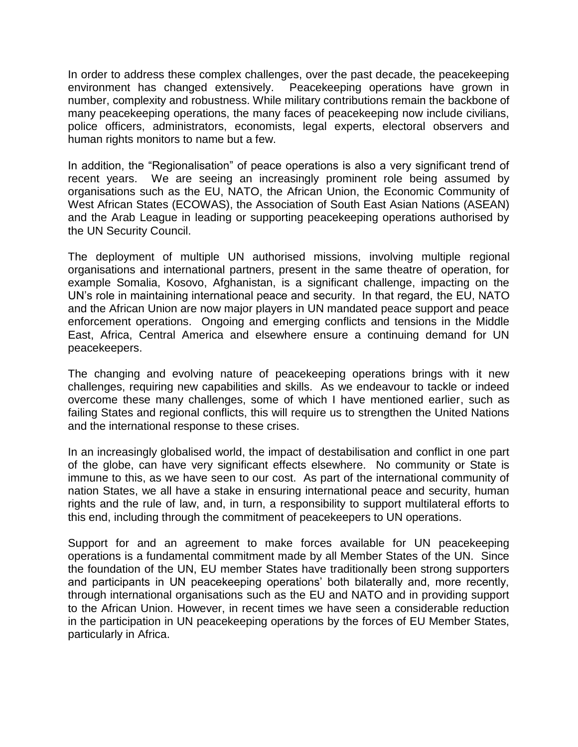In order to address these complex challenges, over the past decade, the peacekeeping environment has changed extensively. Peacekeeping operations have grown in number, complexity and robustness. While military contributions remain the backbone of many peacekeeping operations, the many faces of peacekeeping now include civilians, police officers, administrators, economists, legal experts, electoral observers and human rights monitors to name but a few.

In addition, the "Regionalisation" of peace operations is also a very significant trend of recent years. We are seeing an increasingly prominent role being assumed by organisations such as the EU, NATO, the African Union, the Economic Community of West African States (ECOWAS), the Association of South East Asian Nations (ASEAN) and the Arab League in leading or supporting peacekeeping operations authorised by the UN Security Council.

The deployment of multiple UN authorised missions, involving multiple regional organisations and international partners, present in the same theatre of operation, for example Somalia, Kosovo, Afghanistan, is a significant challenge, impacting on the UN's role in maintaining international peace and security. In that regard, the EU, NATO and the African Union are now major players in UN mandated peace support and peace enforcement operations. Ongoing and emerging conflicts and tensions in the Middle East, Africa, Central America and elsewhere ensure a continuing demand for UN peacekeepers.

The changing and evolving nature of peacekeeping operations brings with it new challenges, requiring new capabilities and skills. As we endeavour to tackle or indeed overcome these many challenges, some of which I have mentioned earlier, such as failing States and regional conflicts, this will require us to strengthen the United Nations and the international response to these crises.

In an increasingly globalised world, the impact of destabilisation and conflict in one part of the globe, can have very significant effects elsewhere. No community or State is immune to this, as we have seen to our cost. As part of the international community of nation States, we all have a stake in ensuring international peace and security, human rights and the rule of law, and, in turn, a responsibility to support multilateral efforts to this end, including through the commitment of peacekeepers to UN operations.

Support for and an agreement to make forces available for UN peacekeeping operations is a fundamental commitment made by all Member States of the UN. Since the foundation of the UN, EU member States have traditionally been strong supporters and participants in UN peacekeeping operations' both bilaterally and, more recently, through international organisations such as the EU and NATO and in providing support to the African Union. However, in recent times we have seen a considerable reduction in the participation in UN peacekeeping operations by the forces of EU Member States, particularly in Africa.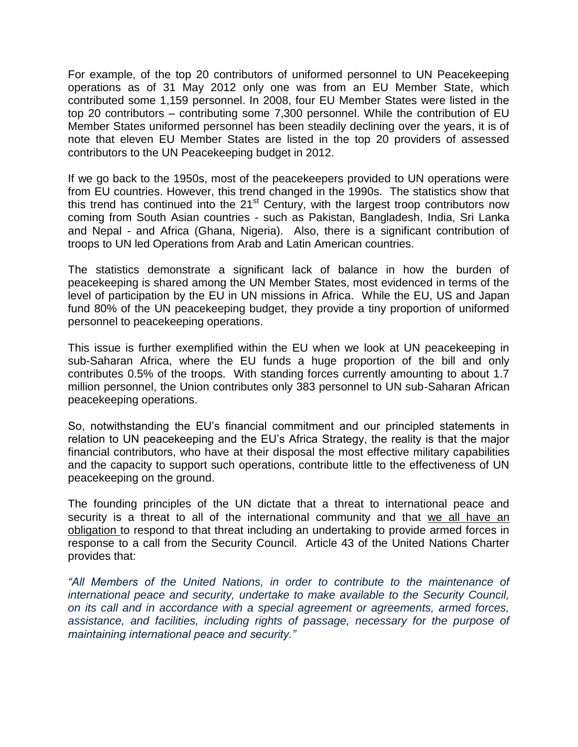For example, of the top 20 contributors of uniformed personnel to UN Peacekeeping operations as of 31 May 2012 only one was from an EU Member State, which contributed some 1,159 personnel. In 2008, four EU Member States were listed in the top 20 contributors – contributing some 7,300 personnel. While the contribution of EU Member States uniformed personnel has been steadily declining over the years, it is of note that eleven EU Member States are listed in the top 20 providers of assessed contributors to the UN Peacekeeping budget in 2012.

If we go back to the 1950s, most of the peacekeepers provided to UN operations were from EU countries. However, this trend changed in the 1990s. The statistics show that this trend has continued into the 21<sup>st</sup> Century, with the largest troop contributors now coming from South Asian countries - such as Pakistan, Bangladesh, India, Sri Lanka and Nepal - and Africa (Ghana, Nigeria). Also, there is a significant contribution of troops to UN led Operations from Arab and Latin American countries.

The statistics demonstrate a significant lack of balance in how the burden of peacekeeping is shared among the UN Member States, most evidenced in terms of the level of participation by the EU in UN missions in Africa. While the EU, US and Japan fund 80% of the UN peacekeeping budget, they provide a tiny proportion of uniformed personnel to peacekeeping operations.

This issue is further exemplified within the EU when we look at UN peacekeeping in sub-Saharan Africa, where the EU funds a huge proportion of the bill and only contributes 0.5% of the troops. With standing forces currently amounting to about 1.7 million personnel, the Union contributes only 383 personnel to UN sub-Saharan African peacekeeping operations.

So, notwithstanding the EU's financial commitment and our principled statements in relation to UN peacekeeping and the EU's Africa Strategy, the reality is that the major financial contributors, who have at their disposal the most effective military capabilities and the capacity to support such operations, contribute little to the effectiveness of UN peacekeeping on the ground.

The founding principles of the UN dictate that a threat to international peace and security is a threat to all of the international community and that we all have an obligation to respond to that threat including an undertaking to provide armed forces in response to a call from the Security Council. Article 43 of the United Nations Charter provides that:

*"All Members of the United Nations, in order to contribute to the maintenance of international peace and security, undertake to make available to the Security Council, on its call and in accordance with a special agreement or agreements, armed forces, assistance, and facilities, including rights of passage, necessary for the purpose of maintaining international peace and security."*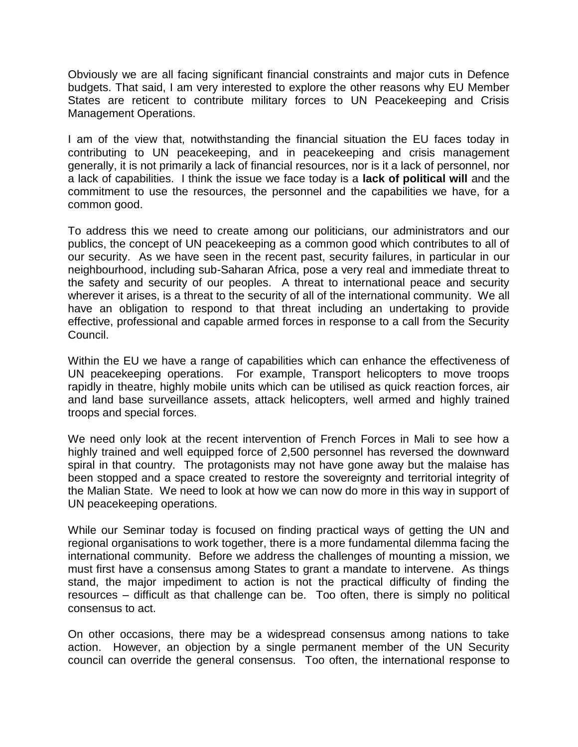Obviously we are all facing significant financial constraints and major cuts in Defence budgets. That said, I am very interested to explore the other reasons why EU Member States are reticent to contribute military forces to UN Peacekeeping and Crisis Management Operations.

I am of the view that, notwithstanding the financial situation the EU faces today in contributing to UN peacekeeping, and in peacekeeping and crisis management generally, it is not primarily a lack of financial resources, nor is it a lack of personnel, nor a lack of capabilities. I think the issue we face today is a **lack of political will** and the commitment to use the resources, the personnel and the capabilities we have, for a common good.

To address this we need to create among our politicians, our administrators and our publics, the concept of UN peacekeeping as a common good which contributes to all of our security. As we have seen in the recent past, security failures, in particular in our neighbourhood, including sub-Saharan Africa, pose a very real and immediate threat to the safety and security of our peoples. A threat to international peace and security wherever it arises, is a threat to the security of all of the international community. We all have an obligation to respond to that threat including an undertaking to provide effective, professional and capable armed forces in response to a call from the Security Council.

Within the EU we have a range of capabilities which can enhance the effectiveness of UN peacekeeping operations. For example, Transport helicopters to move troops rapidly in theatre, highly mobile units which can be utilised as quick reaction forces, air and land base surveillance assets, attack helicopters, well armed and highly trained troops and special forces.

We need only look at the recent intervention of French Forces in Mali to see how a highly trained and well equipped force of 2,500 personnel has reversed the downward spiral in that country. The protagonists may not have gone away but the malaise has been stopped and a space created to restore the sovereignty and territorial integrity of the Malian State. We need to look at how we can now do more in this way in support of UN peacekeeping operations.

While our Seminar today is focused on finding practical ways of getting the UN and regional organisations to work together, there is a more fundamental dilemma facing the international community. Before we address the challenges of mounting a mission, we must first have a consensus among States to grant a mandate to intervene. As things stand, the major impediment to action is not the practical difficulty of finding the resources – difficult as that challenge can be. Too often, there is simply no political consensus to act.

On other occasions, there may be a widespread consensus among nations to take action. However, an objection by a single permanent member of the UN Security council can override the general consensus. Too often, the international response to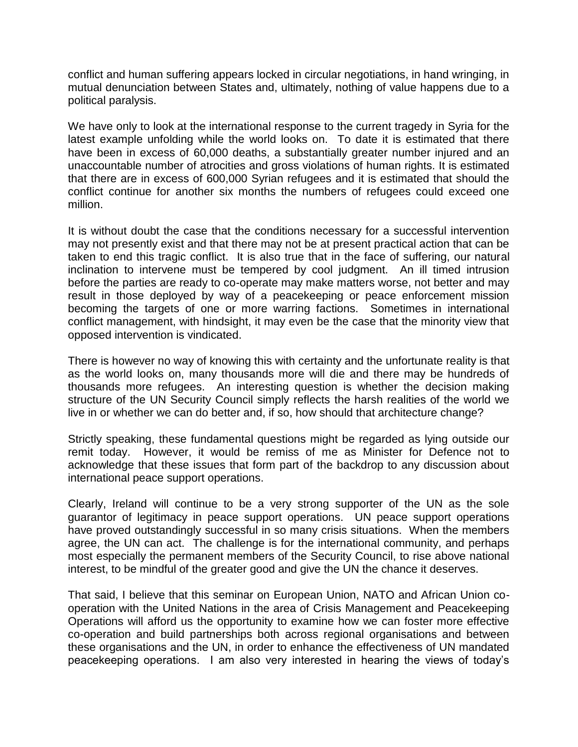conflict and human suffering appears locked in circular negotiations, in hand wringing, in mutual denunciation between States and, ultimately, nothing of value happens due to a political paralysis.

We have only to look at the international response to the current tragedy in Syria for the latest example unfolding while the world looks on. To date it is estimated that there have been in excess of 60,000 deaths, a substantially greater number injured and an unaccountable number of atrocities and gross violations of human rights. It is estimated that there are in excess of 600,000 Syrian refugees and it is estimated that should the conflict continue for another six months the numbers of refugees could exceed one million.

It is without doubt the case that the conditions necessary for a successful intervention may not presently exist and that there may not be at present practical action that can be taken to end this tragic conflict. It is also true that in the face of suffering, our natural inclination to intervene must be tempered by cool judgment. An ill timed intrusion before the parties are ready to co-operate may make matters worse, not better and may result in those deployed by way of a peacekeeping or peace enforcement mission becoming the targets of one or more warring factions. Sometimes in international conflict management, with hindsight, it may even be the case that the minority view that opposed intervention is vindicated.

There is however no way of knowing this with certainty and the unfortunate reality is that as the world looks on, many thousands more will die and there may be hundreds of thousands more refugees. An interesting question is whether the decision making structure of the UN Security Council simply reflects the harsh realities of the world we live in or whether we can do better and, if so, how should that architecture change?

Strictly speaking, these fundamental questions might be regarded as lying outside our remit today. However, it would be remiss of me as Minister for Defence not to acknowledge that these issues that form part of the backdrop to any discussion about international peace support operations.

Clearly, Ireland will continue to be a very strong supporter of the UN as the sole guarantor of legitimacy in peace support operations. UN peace support operations have proved outstandingly successful in so many crisis situations. When the members agree, the UN can act. The challenge is for the international community, and perhaps most especially the permanent members of the Security Council, to rise above national interest, to be mindful of the greater good and give the UN the chance it deserves.

That said, I believe that this seminar on European Union, NATO and African Union cooperation with the United Nations in the area of Crisis Management and Peacekeeping Operations will afford us the opportunity to examine how we can foster more effective co-operation and build partnerships both across regional organisations and between these organisations and the UN, in order to enhance the effectiveness of UN mandated peacekeeping operations. I am also very interested in hearing the views of today's